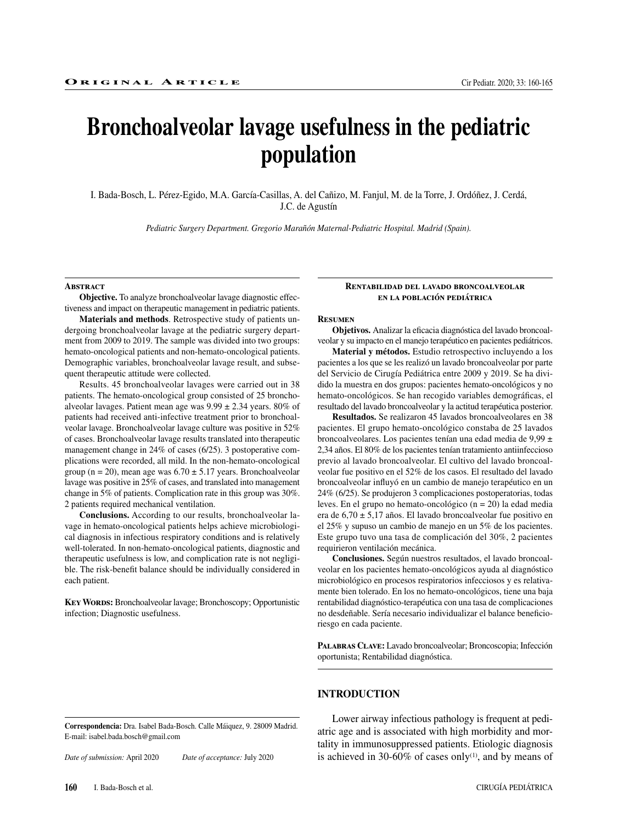# **Bronchoalveolar lavage usefulness in the pediatric population**

I. Bada-Bosch, L. Pérez-Egido, M.A. García-Casillas, A. del Cañizo, M. Fanjul, M. de la Torre, J. Ordóñez, J. Cerdá, J.C. de Agustín

*Pediatric Surgery Department. Gregorio Marañón Maternal-Pediatric Hospital. Madrid (Spain).*

#### **Abstract**

**Objective.** To analyze bronchoalveolar lavage diagnostic effectiveness and impact on therapeutic management in pediatric patients.

**Materials and methods**. Retrospective study of patients undergoing bronchoalveolar lavage at the pediatric surgery department from 2009 to 2019. The sample was divided into two groups: hemato-oncological patients and non-hemato-oncological patients. Demographic variables, bronchoalveolar lavage result, and subsequent therapeutic attitude were collected.

Results. 45 bronchoalveolar lavages were carried out in 38 patients. The hemato-oncological group consisted of 25 bronchoalveolar lavages. Patient mean age was  $9.99 \pm 2.34$  years. 80% of patients had received anti-infective treatment prior to bronchoalveolar lavage. Bronchoalveolar lavage culture was positive in 52% of cases. Bronchoalveolar lavage results translated into therapeutic management change in 24% of cases (6/25). 3 postoperative complications were recorded, all mild. In the non-hemato-oncological group (n = 20), mean age was  $6.70 \pm 5.17$  years. Bronchoalveolar lavage was positive in 25% of cases, and translated into management change in 5% of patients. Complication rate in this group was 30%. 2 patients required mechanical ventilation.

**Conclusions.** According to our results, bronchoalveolar lavage in hemato-oncological patients helps achieve microbiological diagnosis in infectious respiratory conditions and is relatively well-tolerated. In non-hemato-oncological patients, diagnostic and therapeutic usefulness is low, and complication rate is not negligible. The risk-benefit balance should be individually considered in each patient.

**Key Words:** Bronchoalveolar lavage; Bronchoscopy; Opportunistic infection; Diagnostic usefulness.

#### **Rentabilidad del lavado broncoalveolar en la población pediátrica**

#### **Resumen**

**Objetivos.** Analizar la eficacia diagnóstica del lavado broncoalveolar y su impacto en el manejo terapéutico en pacientes pediátricos.

**Material y métodos.** Estudio retrospectivo incluyendo a los pacientes a los que se les realizó un lavado broncoalveolar por parte del Servicio de Cirugía Pediátrica entre 2009 y 2019. Se ha dividido la muestra en dos grupos: pacientes hemato-oncológicos y no hemato-oncológicos. Se han recogido variables demográficas, el resultado del lavado broncoalveolar y la actitud terapéutica posterior.

**Resultados.** Se realizaron 45 lavados broncoalveolares en 38 pacientes. El grupo hemato-oncológico constaba de 25 lavados broncoalveolares. Los pacientes tenían una edad media de 9,99 ± 2,34 años. El 80% de los pacientes tenían tratamiento antiinfeccioso previo al lavado broncoalveolar. El cultivo del lavado broncoalveolar fue positivo en el 52% de los casos. El resultado del lavado broncoalveolar influyó en un cambio de manejo terapéutico en un 24% (6/25). Se produjeron 3 complicaciones postoperatorias, todas leves. En el grupo no hemato-oncológico (n = 20) la edad media era de  $6,70 \pm 5,17$  años. El lavado broncoalveolar fue positivo en el 25% y supuso un cambio de manejo en un 5% de los pacientes. Este grupo tuvo una tasa de complicación del 30%, 2 pacientes requirieron ventilación mecánica.

**Conclusiones.** Según nuestros resultados, el lavado broncoalveolar en los pacientes hemato-oncológicos ayuda al diagnóstico microbiológico en procesos respiratorios infecciosos y es relativamente bien tolerado. En los no hemato-oncológicos, tiene una baja rentabilidad diagnóstico-terapéutica con una tasa de complicaciones no desdeñable. Sería necesario individualizar el balance beneficioriesgo en cada paciente.

**Palabras Clave:** Lavado broncoalveolar; Broncoscopia; Infección oportunista; Rentabilidad diagnóstica.

#### **INTRODUCTION**

**Correspondencia:** Dra. Isabel Bada-Bosch. Calle Máiquez, 9. 28009 Madrid. E-mail: isabel.bada.bosch@gmail.com

*Date of submission:* April 2020 *Date of acceptance:* July 2020

Lower airway infectious pathology is frequent at pediatric age and is associated with high morbidity and mortality in immunosuppressed patients. Etiologic diagnosis is achieved in 30-60% of cases only $(1)$ , and by means of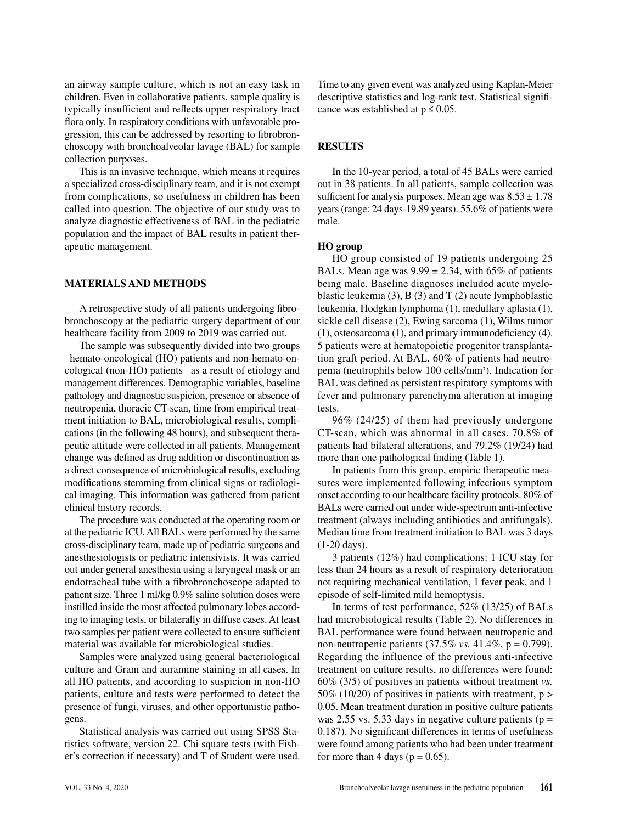an airway sample culture, which is not an easy task in children. Even in collaborative patients, sample quality is typically insufficient and reflects upper respiratory tract flora only. In respiratory conditions with unfavorable progression, this can be addressed by resorting to fibrobronchoscopy with bronchoalveolar lavage (BAL) for sample collection purposes.

This is an invasive technique, which means it requires a specialized cross-disciplinary team, and it is not exempt from complications, so usefulness in children has been called into question. The objective of our study was to analyze diagnostic effectiveness of BAL in the pediatric population and the impact of BAL results in patient therapeutic management.

### **MATERIALS AND METHODS**

A retrospective study of all patients undergoing fibrobronchoscopy at the pediatric surgery department of our healthcare facility from 2009 to 2019 was carried out.

The sample was subsequently divided into two groups –hemato-oncological (HO) patients and non-hemato-oncological (non-HO) patients– as a result of etiology and management differences. Demographic variables, baseline pathology and diagnostic suspicion, presence or absence of neutropenia, thoracic CT-scan, time from empirical treatment initiation to BAL, microbiological results, complications (in the following 48 hours), and subsequent therapeutic attitude were collected in all patients. Management change was defined as drug addition or discontinuation as a direct consequence of microbiological results, excluding modifications stemming from clinical signs or radiological imaging. This information was gathered from patient clinical history records.

The procedure was conducted at the operating room or at the pediatric ICU. All BALs were performed by the same cross-disciplinary team, made up of pediatric surgeons and anesthesiologists or pediatric intensivists. It was carried out under general anesthesia using a laryngeal mask or an endotracheal tube with a fibrobronchoscope adapted to patient size. Three 1 ml/kg 0.9% saline solution doses were instilled inside the most affected pulmonary lobes according to imaging tests, or bilaterally in diffuse cases. At least two samples per patient were collected to ensure sufficient material was available for microbiological studies.

Samples were analyzed using general bacteriological culture and Gram and auramine staining in all cases. In all HO patients, and according to suspicion in non-HO patients, culture and tests were performed to detect the presence of fungi, viruses, and other opportunistic pathogens.

Statistical analysis was carried out using SPSS Statistics software, version 22. Chi square tests (with Fisher's correction if necessary) and T of Student were used.

Time to any given event was analyzed using Kaplan-Meier descriptive statistics and log-rank test. Statistical significance was established at  $p \le 0.05$ .

## **RESULTS**

In the 10-year period, a total of 45 BALs were carried out in 38 patients. In all patients, sample collection was sufficient for analysis purposes. Mean age was  $8.53 \pm 1.78$ years (range: 24 days-19.89 years). 55.6% of patients were male.

#### **HO group**

HO group consisted of 19 patients undergoing 25 BALs. Mean age was  $9.99 \pm 2.34$ , with 65% of patients being male. Baseline diagnoses included acute myeloblastic leukemia  $(3)$ , B $(3)$  and T $(2)$  acute lymphoblastic leukemia, Hodgkin lymphoma (1), medullary aplasia (1), sickle cell disease (2), Ewing sarcoma (1), Wilms tumor (1), osteosarcoma (1), and primary immunodeficiency (4). 5 patients were at hematopoietic progenitor transplantation graft period. At BAL, 60% of patients had neutropenia (neutrophils below 100 cells/mm3). Indication for BAL was defined as persistent respiratory symptoms with fever and pulmonary parenchyma alteration at imaging tests.

96% (24/25) of them had previously undergone CT-scan, which was abnormal in all cases. 70.8% of patients had bilateral alterations, and 79.2% (19/24) had more than one pathological finding (Table 1).

In patients from this group, empiric therapeutic measures were implemented following infectious symptom onset according to our healthcare facility protocols. 80% of BALs were carried out under wide-spectrum anti-infective treatment (always including antibiotics and antifungals). Median time from treatment initiation to BAL was 3 days (1-20 days).

3 patients (12%) had complications: 1 ICU stay for less than 24 hours as a result of respiratory deterioration not requiring mechanical ventilation, 1 fever peak, and 1 episode of self-limited mild hemoptysis.

In terms of test performance, 52% (13/25) of BALs had microbiological results (Table 2). No differences in BAL performance were found between neutropenic and non-neutropenic patients (37.5% *vs.* 41.4%, p = 0.799). Regarding the influence of the previous anti-infective treatment on culture results, no differences were found: 60% (3/5) of positives in patients without treatment *vs.* 50% (10/20) of positives in patients with treatment, p > 0.05. Mean treatment duration in positive culture patients was 2.55 vs. 5.33 days in negative culture patients ( $p =$ 0.187). No significant differences in terms of usefulness were found among patients who had been under treatment for more than 4 days ( $p = 0.65$ ).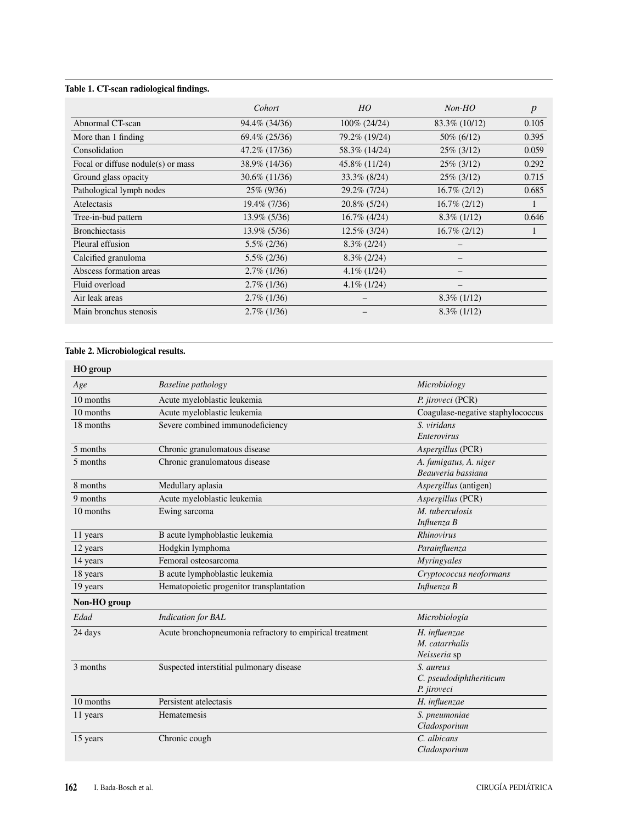## **Table 1. CT-scan radiological findings.**

|                                        | Cohort           | HO              | $Non-HO$        | $\boldsymbol{p}$ |
|----------------------------------------|------------------|-----------------|-----------------|------------------|
| Abnormal CT-scan                       | 94.4\% (34/36)   | $100\%$ (24/24) | 83.3\% (10/12)  | 0.105            |
| More than 1 finding                    | 69.4% (25/36)    | 79.2% (19/24)   | 50\% (6/12)     | 0.395            |
| Consolidation                          | 47.2\% (17/36)   | 58.3% (14/24)   | $25\%$ (3/12)   | 0.059            |
| Focal or diffuse nodule( $s$ ) or mass | 38.9% (14/36)    | 45.8% (11/24)   | 25% (3/12)      | 0.292            |
| Ground glass opacity                   | $30.6\%$ (11/36) | $33.3\%$ (8/24) | $25\%$ (3/12)   | 0.715            |
| Pathological lymph nodes               | 25\% (9/36)      | 29.2% (7/24)    | $16.7\% (2/12)$ | 0.685            |
| <b>Atelectasis</b>                     | 19.4% (7/36)     | $20.8\%$ (5/24) | $16.7\% (2/12)$ |                  |
| Tree-in-bud pattern                    | $13.9\%$ (5/36)  | $16.7\%$ (4/24) | $8.3\%$ (1/12)  | 0.646            |
| <b>Bronchiectasis</b>                  | 13.9% (5/36)     | $12.5\%$ (3/24) | $16.7\% (2/12)$ |                  |
| Pleural effusion                       | $5.5\%$ (2/36)   | $8.3\%$ (2/24)  |                 |                  |
| Calcified granuloma                    | $5.5\%$ (2/36)   | $8.3\%$ (2/24)  |                 |                  |
| Abscess formation areas                | $2.7\%$ (1/36)   | $4.1\%$ (1/24)  |                 |                  |
| Fluid overload                         | $2.7\%$ (1/36)   | $4.1\%$ (1/24)  |                 |                  |
| Air leak areas                         | $2.7\%$ (1/36)   |                 | $8.3\%$ (1/12)  |                  |
| Main bronchus stenosis                 | $2.7\%$ (1/36)   |                 | $8.3\%$ (1/12)  |                  |

## **Table 2. Microbiological results.**

| HO group     |                                                          |                                   |
|--------------|----------------------------------------------------------|-----------------------------------|
| Age          | <b>Baseline</b> pathology                                | Microbiology                      |
| 10 months    | Acute myeloblastic leukemia                              | P. jiroveci (PCR)                 |
| 10 months    | Acute myeloblastic leukemia                              | Coagulase-negative staphylococcus |
| 18 months    | Severe combined immunodeficiency                         | S. viridans                       |
|              |                                                          | Enterovirus                       |
| 5 months     | Chronic granulomatous disease                            | Aspergillus (PCR)                 |
| 5 months     | Chronic granulomatous disease                            | A. fumigatus, A. niger            |
|              |                                                          | Beauveria bassiana                |
| 8 months     | Medullary aplasia                                        | <i>Aspergillus</i> (antigen)      |
| 9 months     | Acute myeloblastic leukemia                              | Aspergillus (PCR)                 |
| 10 months    | Ewing sarcoma                                            | M. tuberculosis                   |
|              |                                                          | Influenza B                       |
| 11 years     | B acute lymphoblastic leukemia                           | <b>Rhinovirus</b>                 |
| 12 years     | Hodgkin lymphoma                                         | Parainfluenza                     |
| 14 years     | Femoral osteosarcoma                                     | Myringyales                       |
| 18 years     | B acute lymphoblastic leukemia                           | Cryptococcus neoformans           |
| 19 years     | Hematopoietic progenitor transplantation                 | Influenza B                       |
| Non-HO group |                                                          |                                   |
| Edad         | <b>Indication</b> for <b>BAL</b>                         | Microbiología                     |
| 24 days      | Acute bronchopneumonia refractory to empirical treatment | H. influenzae                     |
|              |                                                          | M. catarrhalis                    |
|              |                                                          | Neisseria sp                      |
| 3 months     | Suspected interstitial pulmonary disease                 | S. aureus                         |
|              |                                                          | C. pseudodiphtheriticum           |
|              |                                                          | P. jiroveci                       |
| 10 months    | Persistent atelectasis                                   | H. influenzae                     |
| 11 years     | Hematemesis                                              | S. pneumoniae                     |
|              |                                                          | Cladosporium                      |
| 15 years     | Chronic cough                                            | C. albicans                       |
|              |                                                          | Cladosporium                      |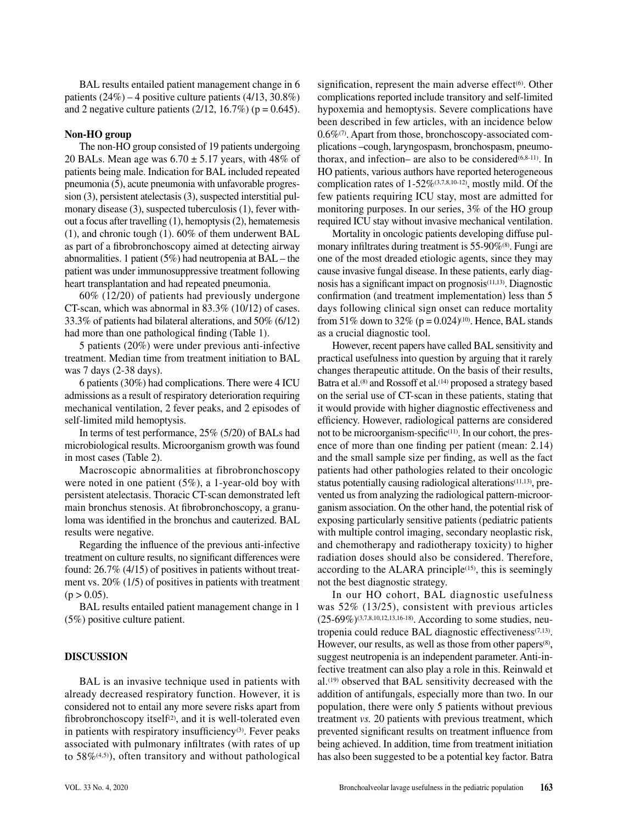BAL results entailed patient management change in 6 patients (24%) – 4 positive culture patients (4/13, 30.8%) and 2 negative culture patients  $(2/12, 16.7\%)$  ( $p = 0.645$ ).

#### **Non-HO group**

The non-HO group consisted of 19 patients undergoing 20 BALs. Mean age was  $6.70 \pm 5.17$  years, with 48% of patients being male. Indication for BAL included repeated pneumonia (5), acute pneumonia with unfavorable progression (3), persistent atelectasis (3), suspected interstitial pulmonary disease (3), suspected tuberculosis (1), fever without a focus after travelling (1), hemoptysis (2), hematemesis (1), and chronic tough (1). 60% of them underwent BAL as part of a fibrobronchoscopy aimed at detecting airway abnormalities. 1 patient (5%) had neutropenia at BAL – the patient was under immunosuppressive treatment following heart transplantation and had repeated pneumonia.

60% (12/20) of patients had previously undergone CT-scan, which was abnormal in 83.3% (10/12) of cases. 33.3% of patients had bilateral alterations, and 50% (6/12) had more than one pathological finding (Table 1).

5 patients (20%) were under previous anti-infective treatment. Median time from treatment initiation to BAL was 7 days (2-38 days).

6 patients (30%) had complications. There were 4 ICU admissions as a result of respiratory deterioration requiring mechanical ventilation, 2 fever peaks, and 2 episodes of self-limited mild hemoptysis.

In terms of test performance, 25% (5/20) of BALs had microbiological results. Microorganism growth was found in most cases (Table 2).

Macroscopic abnormalities at fibrobronchoscopy were noted in one patient (5%), a 1-year-old boy with persistent atelectasis. Thoracic CT-scan demonstrated left main bronchus stenosis. At fibrobronchoscopy, a granuloma was identified in the bronchus and cauterized. BAL results were negative.

Regarding the influence of the previous anti-infective treatment on culture results, no significant differences were found: 26.7% (4/15) of positives in patients without treatment vs. 20% (1/5) of positives in patients with treatment  $(p > 0.05)$ .

BAL results entailed patient management change in 1 (5%) positive culture patient.

#### **DISCUSSION**

BAL is an invasive technique used in patients with already decreased respiratory function. However, it is considered not to entail any more severe risks apart from fibrobronchoscopy itself $(2)$ , and it is well-tolerated even in patients with respiratory insufficiency<sup>(3)</sup>. Fever peaks associated with pulmonary infiltrates (with rates of up to 58%(4,5)), often transitory and without pathological signification, represent the main adverse effect $(6)$ . Other complications reported include transitory and self-limited hypoxemia and hemoptysis. Severe complications have been described in few articles, with an incidence below 0.6%(7). Apart from those, bronchoscopy-associated complications –cough, laryngospasm, bronchospasm, pneumothorax, and infection– are also to be considered $(6,8-11)$ . In HO patients, various authors have reported heterogeneous complication rates of  $1-52\%$ <sup>(3,7,8,10-12)</sup>, mostly mild. Of the few patients requiring ICU stay, most are admitted for monitoring purposes. In our series, 3% of the HO group required ICU stay without invasive mechanical ventilation.

Mortality in oncologic patients developing diffuse pulmonary infiltrates during treatment is 55-90%(8). Fungi are one of the most dreaded etiologic agents, since they may cause invasive fungal disease. In these patients, early diagnosis has a significant impact on prognosis(11,13). Diagnostic confirmation (and treatment implementation) less than 5 days following clinical sign onset can reduce mortality from 51% down to 32% ( $p = 0.024$ )<sup>(10)</sup>. Hence, BAL stands as a crucial diagnostic tool.

However, recent papers have called BAL sensitivity and practical usefulness into question by arguing that it rarely changes therapeutic attitude. On the basis of their results, Batra et al.<sup>(8)</sup> and Rossoff et al.<sup>(14)</sup> proposed a strategy based on the serial use of CT-scan in these patients, stating that it would provide with higher diagnostic effectiveness and efficiency. However, radiological patterns are considered not to be microorganism-specific $(11)$ . In our cohort, the presence of more than one finding per patient (mean: 2.14) and the small sample size per finding, as well as the fact patients had other pathologies related to their oncologic status potentially causing radiological alterations<sup>(11,13)</sup>, prevented us from analyzing the radiological pattern-microorganism association. On the other hand, the potential risk of exposing particularly sensitive patients (pediatric patients with multiple control imaging, secondary neoplastic risk, and chemotherapy and radiotherapy toxicity) to higher radiation doses should also be considered. Therefore, according to the ALARA principle $(15)$ , this is seemingly not the best diagnostic strategy.

In our HO cohort, BAL diagnostic usefulness was 52% (13/25), consistent with previous articles (25-69%)(3,7,8,10,12,13,16-18). According to some studies, neutropenia could reduce BAL diagnostic effectiveness<sup>(7,13)</sup>. However, our results, as well as those from other papers<sup>(8)</sup>, suggest neutropenia is an independent parameter. Anti-infective treatment can also play a role in this. Reinwald et al.(19) observed that BAL sensitivity decreased with the addition of antifungals, especially more than two. In our population, there were only 5 patients without previous treatment *vs.* 20 patients with previous treatment, which prevented significant results on treatment influence from being achieved. In addition, time from treatment initiation has also been suggested to be a potential key factor. Batra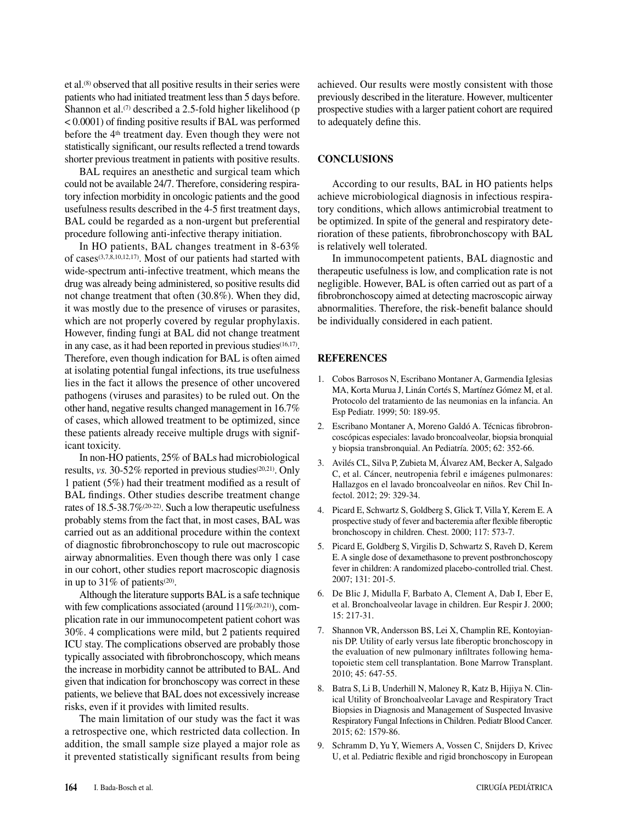et al.(8) observed that all positive results in their series were patients who had initiated treatment less than 5 days before. Shannon et al.<sup> $(7)$ </sup> described a 2.5-fold higher likelihood (p < 0.0001) of finding positive results if BAL was performed before the 4th treatment day. Even though they were not statistically significant, our results reflected a trend towards shorter previous treatment in patients with positive results.

BAL requires an anesthetic and surgical team which could not be available 24/7. Therefore, considering respiratory infection morbidity in oncologic patients and the good usefulness results described in the 4-5 first treatment days, BAL could be regarded as a non-urgent but preferential procedure following anti-infective therapy initiation.

In HO patients, BAL changes treatment in 8-63% of cases(3,7,8,10,12,17). Most of our patients had started with wide-spectrum anti-infective treatment, which means the drug was already being administered, so positive results did not change treatment that often (30.8%). When they did, it was mostly due to the presence of viruses or parasites, which are not properly covered by regular prophylaxis. However, finding fungi at BAL did not change treatment in any case, as it had been reported in previous studies<sup>(16,17)</sup>. Therefore, even though indication for BAL is often aimed at isolating potential fungal infections, its true usefulness lies in the fact it allows the presence of other uncovered pathogens (viruses and parasites) to be ruled out. On the other hand, negative results changed management in 16.7% of cases, which allowed treatment to be optimized, since these patients already receive multiple drugs with significant toxicity.

In non-HO patients, 25% of BALs had microbiological results, *vs.* 30-52% reported in previous studies<sup>(20,21)</sup>. Only 1 patient (5%) had their treatment modified as a result of BAL findings. Other studies describe treatment change rates of 18.5-38.7%(20-22). Such a low therapeutic usefulness probably stems from the fact that, in most cases, BAL was carried out as an additional procedure within the context of diagnostic fibrobronchoscopy to rule out macroscopic airway abnormalities. Even though there was only 1 case in our cohort, other studies report macroscopic diagnosis in up to 31% of patients<sup>(20)</sup>.

Although the literature supports BAL is a safe technique with few complications associated (around  $11\%^{(20,21)}$ ), complication rate in our immunocompetent patient cohort was 30%. 4 complications were mild, but 2 patients required ICU stay. The complications observed are probably those typically associated with fibrobronchoscopy, which means the increase in morbidity cannot be attributed to BAL. And given that indication for bronchoscopy was correct in these patients, we believe that BAL does not excessively increase risks, even if it provides with limited results.

The main limitation of our study was the fact it was a retrospective one, which restricted data collection. In addition, the small sample size played a major role as it prevented statistically significant results from being achieved. Our results were mostly consistent with those previously described in the literature. However, multicenter prospective studies with a larger patient cohort are required to adequately define this.

#### **CONCLUSIONS**

According to our results, BAL in HO patients helps achieve microbiological diagnosis in infectious respiratory conditions, which allows antimicrobial treatment to be optimized. In spite of the general and respiratory deterioration of these patients, fibrobronchoscopy with BAL is relatively well tolerated.

In immunocompetent patients, BAL diagnostic and therapeutic usefulness is low, and complication rate is not negligible. However, BAL is often carried out as part of a fibrobronchoscopy aimed at detecting macroscopic airway abnormalities. Therefore, the risk-benefit balance should be individually considered in each patient.

#### **REFERENCES**

- 1. Cobos Barrosos N, Escribano Montaner A, Garmendia Iglesias MA, Korta Murua J, Linán Cortés S, Martínez Gómez M, et al. Protocolo del tratamiento de las neumonias en la infancia. An Esp Pediatr. 1999; 50: 189-95.
- 2. Escribano Montaner A, Moreno Galdó A. Técnicas fibrobroncoscópicas especiales: lavado broncoalveolar, biopsia bronquial y biopsia transbronquial. An Pediatría. 2005; 62: 352-66.
- 3. Avilés CL, Silva P, Zubieta M, Álvarez AM, Becker A, Salgado C, et al. Cáncer, neutropenia febril e imágenes pulmonares: Hallazgos en el lavado broncoalveolar en niños. Rev Chil Infectol. 2012; 29: 329-34.
- 4. Picard E, Schwartz S, Goldberg S, Glick T, Villa Y, Kerem E. A prospective study of fever and bacteremia after flexible fiberoptic bronchoscopy in children. Chest. 2000; 117: 573-7.
- 5. Picard E, Goldberg S, Virgilis D, Schwartz S, Raveh D, Kerem E. A single dose of dexamethasone to prevent postbronchoscopy fever in children: A randomized placebo-controlled trial. Chest. 2007; 131: 201-5.
- 6. De Blic J, Midulla F, Barbato A, Clement A, Dab I, Eber E, et al. Bronchoalveolar lavage in children. Eur Respir J. 2000; 15: 217-31.
- 7. Shannon VR, Andersson BS, Lei X, Champlin RE, Kontoyiannis DP. Utility of early versus late fiberoptic bronchoscopy in the evaluation of new pulmonary infiltrates following hematopoietic stem cell transplantation. Bone Marrow Transplant. 2010; 45: 647-55.
- 8. Batra S, Li B, Underhill N, Maloney R, Katz B, Hijiya N. Clinical Utility of Bronchoalveolar Lavage and Respiratory Tract Biopsies in Diagnosis and Management of Suspected Invasive Respiratory Fungal Infections in Children. Pediatr Blood Cancer. 2015; 62: 1579-86.
- 9. Schramm D, Yu Y, Wiemers A, Vossen C, Snijders D, Krivec U, et al. Pediatric flexible and rigid bronchoscopy in European